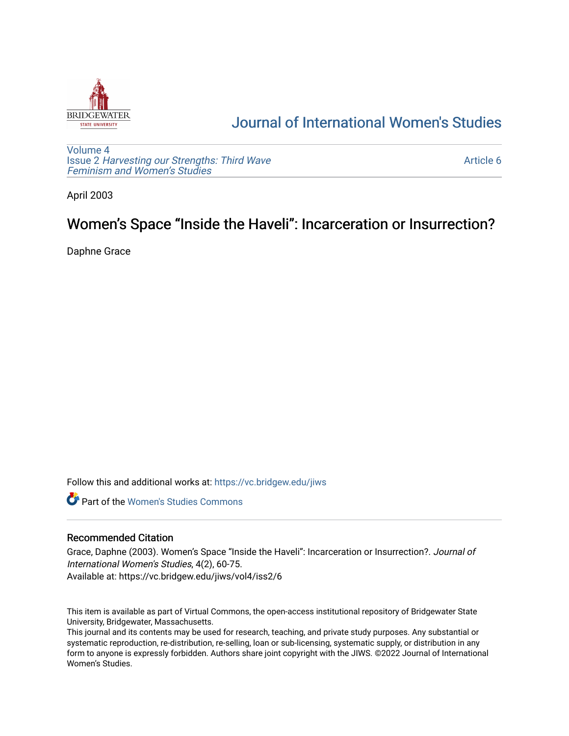

# [Journal of International Women's Studies](https://vc.bridgew.edu/jiws)

[Volume 4](https://vc.bridgew.edu/jiws/vol4) Issue 2 [Harvesting our Strengths: Third Wave](https://vc.bridgew.edu/jiws/vol4/iss2) [Feminism and Women's Studies](https://vc.bridgew.edu/jiws/vol4/iss2)

[Article 6](https://vc.bridgew.edu/jiws/vol4/iss2/6) 

April 2003

# Women's Space "Inside the Haveli": Incarceration or Insurrection?

Daphne Grace

Follow this and additional works at: [https://vc.bridgew.edu/jiws](https://vc.bridgew.edu/jiws?utm_source=vc.bridgew.edu%2Fjiws%2Fvol4%2Fiss2%2F6&utm_medium=PDF&utm_campaign=PDFCoverPages)

**C** Part of the Women's Studies Commons

# Recommended Citation

Grace, Daphne (2003). Women's Space "Inside the Haveli": Incarceration or Insurrection?. Journal of International Women's Studies, 4(2), 60-75. Available at: https://vc.bridgew.edu/jiws/vol4/iss2/6

This item is available as part of Virtual Commons, the open-access institutional repository of Bridgewater State University, Bridgewater, Massachusetts.

This journal and its contents may be used for research, teaching, and private study purposes. Any substantial or systematic reproduction, re-distribution, re-selling, loan or sub-licensing, systematic supply, or distribution in any form to anyone is expressly forbidden. Authors share joint copyright with the JIWS. ©2022 Journal of International Women's Studies.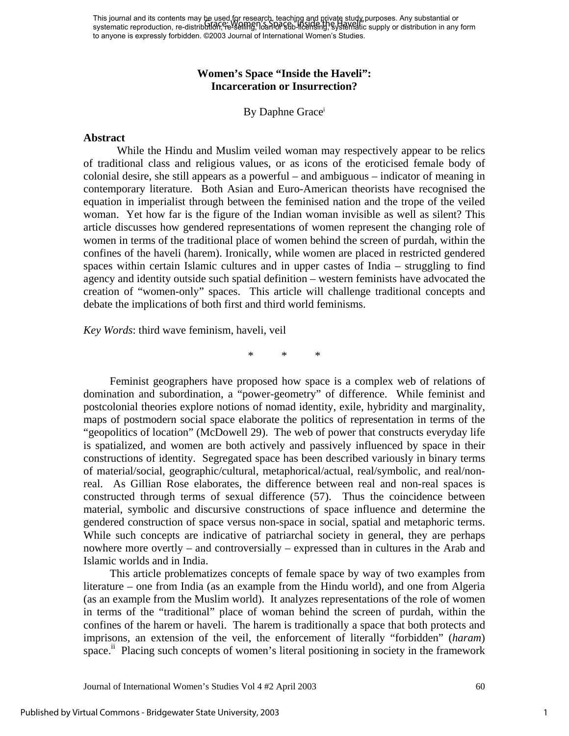This journal and its contents may be used for research, teaching and private study, purposes. Any substantial or systematic reproduction, re-distrib<del>utIon, reখselliHg, Ioan lof sub-licensing, systemat</del>ic supply or distribution in any form to anyone is expressly forbidden. ©2003 Journal of International Women's Studies. Grace: Women's Space "Inside the Haveli"

# **Women's Space "Inside the Haveli": Incarceration or Insurrection?**

By Daphne Grace<sup>i</sup>

#### **Abstract**

While the Hindu and Muslim veiled woman may respectively appear to be relics of traditional class and religious values, or as icons of the eroticised female body of colonial desire, she still appears as a powerful – and ambiguous – indicator of meaning in contemporary literature. Both Asian and Euro-American theorists have recognised the equation in imperialist through between the feminised nation and the trope of the veiled woman. Yet how far is the figure of the Indian woman invisible as well as silent? This article discusses how gendered representations of women represent the changing role of women in terms of the traditional place of women behind the screen of purdah, within the confines of the haveli (harem). Ironically, while women are placed in restricted gendered spaces within certain Islamic cultures and in upper castes of India – struggling to find agency and identity outside such spatial definition – western feminists have advocated the creation of "women-only" spaces. This article will challenge traditional concepts and debate the implications of both first and third world feminisms.

*Key Words*: third wave feminism, haveli, veil

\* \* \*

Feminist geographers have proposed how space is a complex web of relations of domination and subordination, a "power-geometry" of difference. While feminist and postcolonial theories explore notions of nomad identity, exile, hybridity and marginality, maps of postmodern social space elaborate the politics of representation in terms of the "geopolitics of location" (McDowell 29). The web of power that constructs everyday life is spatialized, and women are both actively and passively influenced by space in their constructions of identity. Segregated space has been described variously in binary terms of material/social, geographic/cultural, metaphorical/actual, real/symbolic, and real/nonreal. As Gillian Rose elaborates, the difference between real and non-real spaces is constructed through terms of sexual difference (57). Thus the coincidence between material, symbolic and discursive constructions of space influence and determine the gendered construction of space versus non-space in social, spatial and metaphoric terms. While such concepts are indicative of patriarchal society in general, they are perhaps nowhere more overtly – and controversially – expressed than in cultures in the Arab and Islamic worlds and in India.

This article problematizes concepts of female space by way of two examples from literature – one from India (as an example from the Hindu world), and one from Algeria (as an example from the Muslim world). It analyzes representations of the role of women in terms of the "traditional" place of woman behind the screen of purdah, within the confines of the harem or haveli. The harem is traditionally a space that both protects and imprisons, an extension of the veil, the enforcement of literally "forbidden" (*haram*) space.<sup>ii</sup> Placing such concepts of women's literal positioning in society in the framework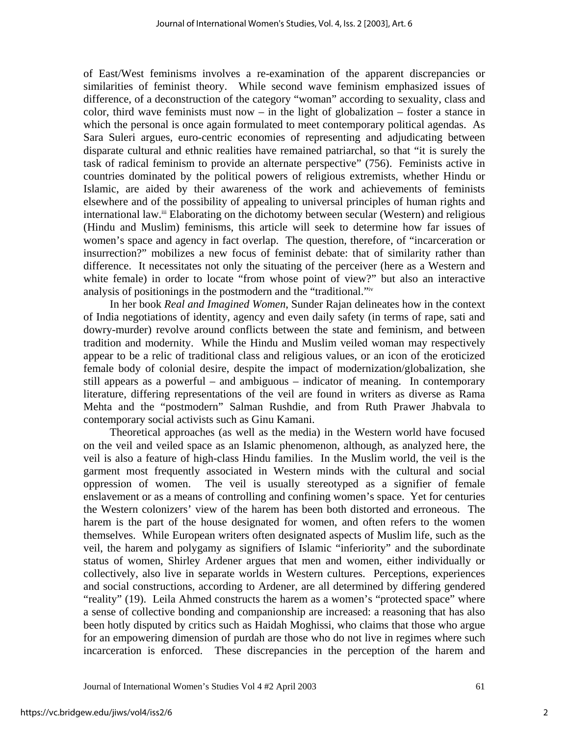of East/West feminisms involves a re-examination of the apparent discrepancies or similarities of feminist theory. While second wave feminism emphasized issues of difference, of a deconstruction of the category "woman" according to sexuality, class and color, third wave feminists must now – in the light of globalization – foster a stance in which the personal is once again formulated to meet contemporary political agendas. As Sara Suleri argues, euro-centric economies of representing and adjudicating between disparate cultural and ethnic realities have remained patriarchal, so that "it is surely the task of radical feminism to provide an alternate perspective" (756). Feminists active in countries dominated by the political powers of religious extremists, whether Hindu or Islamic, are aided by their awareness of the work and achievements of feminists elsewhere and of the possibility of appealing to universal principles of human rights and international law.<sup>iii</sup> Elaborating on the dichotomy between secular (Western) and religious (Hindu and Muslim) feminisms, this article will seek to determine how far issues of women's space and agency in fact overlap. The question, therefore, of "incarceration or insurrection?" mobilizes a new focus of feminist debate: that of similarity rather than difference. It necessitates not only the situating of the perceiver (here as a Western and white female) in order to locate "from whose point of view?" but also an interactive analysis of positionings in the postmodern and the "traditional."[iv](#page-16-3)

In her book *Real and Imagined Women*, Sunder Rajan delineates how in the context of India negotiations of identity, agency and even daily safety (in terms of rape, sati and dowry-murder) revolve around conflicts between the state and feminism, and between tradition and modernity. While the Hindu and Muslim veiled woman may respectively appear to be a relic of traditional class and religious values, or an icon of the eroticized female body of colonial desire, despite the impact of modernization/globalization, she still appears as a powerful – and ambiguous – indicator of meaning. In contemporary literature, differing representations of the veil are found in writers as diverse as Rama Mehta and the "postmodern" Salman Rushdie, and from Ruth Prawer Jhabvala to contemporary social activists such as Ginu Kamani.

Theoretical approaches (as well as the media) in the Western world have focused on the veil and veiled space as an Islamic phenomenon, although, as analyzed here, the veil is also a feature of high-class Hindu families. In the Muslim world, the veil is the garment most frequently associated in Western minds with the cultural and social oppression of women. The veil is usually stereotyped as a signifier of female enslavement or as a means of controlling and confining women's space. Yet for centuries the Western colonizers' view of the harem has been both distorted and erroneous. The harem is the part of the house designated for women, and often refers to the women themselves. While European writers often designated aspects of Muslim life, such as the veil, the harem and polygamy as signifiers of Islamic "inferiority" and the subordinate status of women, Shirley Ardener argues that men and women, either individually or collectively, also live in separate worlds in Western cultures. Perceptions, experiences and social constructions, according to Ardener, are all determined by differing gendered "reality" (19). Leila Ahmed constructs the harem as a women's "protected space" where a sense of collective bonding and companionship are increased: a reasoning that has also been hotly disputed by critics such as Haidah Moghissi, who claims that those who argue for an empowering dimension of purdah are those who do not live in regimes where such incarceration is enforced. These discrepancies in the perception of the harem and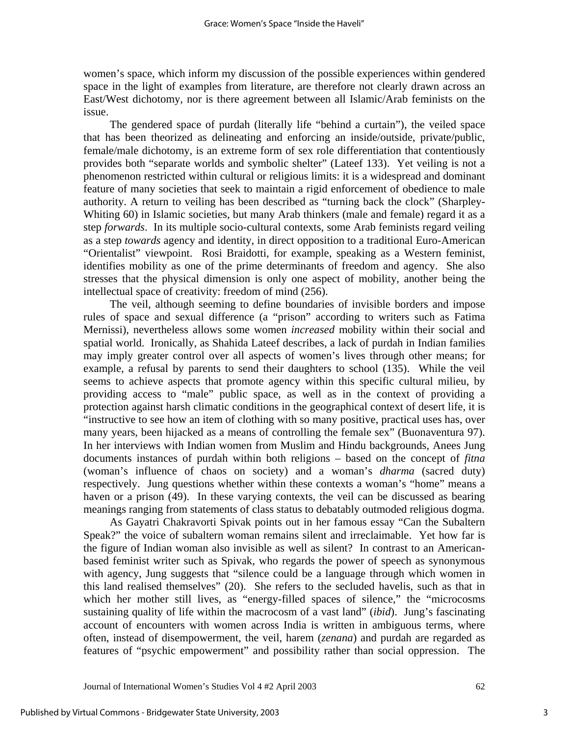women's space, which inform my discussion of the possible experiences within gendered space in the light of examples from literature, are therefore not clearly drawn across an East/West dichotomy, nor is there agreement between all Islamic/Arab feminists on the issue.

The gendered space of purdah (literally life "behind a curtain"), the veiled space that has been theorized as delineating and enforcing an inside/outside, private/public, female/male dichotomy, is an extreme form of sex role differentiation that contentiously provides both "separate worlds and symbolic shelter" (Lateef 133). Yet veiling is not a phenomenon restricted within cultural or religious limits: it is a widespread and dominant feature of many societies that seek to maintain a rigid enforcement of obedience to male authority. A return to veiling has been described as "turning back the clock" (Sharpley-Whiting 60) in Islamic societies, but many Arab thinkers (male and female) regard it as a step *forwards*. In its multiple socio-cultural contexts, some Arab feminists regard veiling as a step *towards* agency and identity, in direct opposition to a traditional Euro-American "Orientalist" viewpoint. Rosi Braidotti, for example, speaking as a Western feminist, identifies mobility as one of the prime determinants of freedom and agency. She also stresses that the physical dimension is only one aspect of mobility, another being the intellectual space of creativity: freedom of mind (256).

The veil, although seeming to define boundaries of invisible borders and impose rules of space and sexual difference (a "prison" according to writers such as Fatima Mernissi), nevertheless allows some women *increased* mobility within their social and spatial world. Ironically, as Shahida Lateef describes, a lack of purdah in Indian families may imply greater control over all aspects of women's lives through other means; for example, a refusal by parents to send their daughters to school (135). While the veil seems to achieve aspects that promote agency within this specific cultural milieu, by providing access to "male" public space, as well as in the context of providing a protection against harsh climatic conditions in the geographical context of desert life, it is "instructive to see how an item of clothing with so many positive, practical uses has, over many years, been hijacked as a means of controlling the female sex" (Buonaventura 97). In her interviews with Indian women from Muslim and Hindu backgrounds, Anees Jung documents instances of purdah within both religions – based on the concept of *fitna* (woman's influence of chaos on society) and a woman's *dharma* (sacred duty) respectively. Jung questions whether within these contexts a woman's "home" means a haven or a prison (49). In these varying contexts, the veil can be discussed as bearing meanings ranging from statements of class status to debatably outmoded religious dogma.

As Gayatri Chakravorti Spivak points out in her famous essay "Can the Subaltern Speak?" the voice of subaltern woman remains silent and irreclaimable. Yet how far is the figure of Indian woman also invisible as well as silent? In contrast to an Americanbased feminist writer such as Spivak, who regards the power of speech as synonymous with agency, Jung suggests that "silence could be a language through which women in this land realised themselves" (20). She refers to the secluded havelis, such as that in which her mother still lives, as "energy-filled spaces of silence," the "microcosms" sustaining quality of life within the macrocosm of a vast land" (*ibid*). Jung's fascinating account of encounters with women across India is written in ambiguous terms, where often, instead of disempowerment, the veil, harem (*zenana*) and purdah are regarded as features of "psychic empowerment" and possibility rather than social oppression. The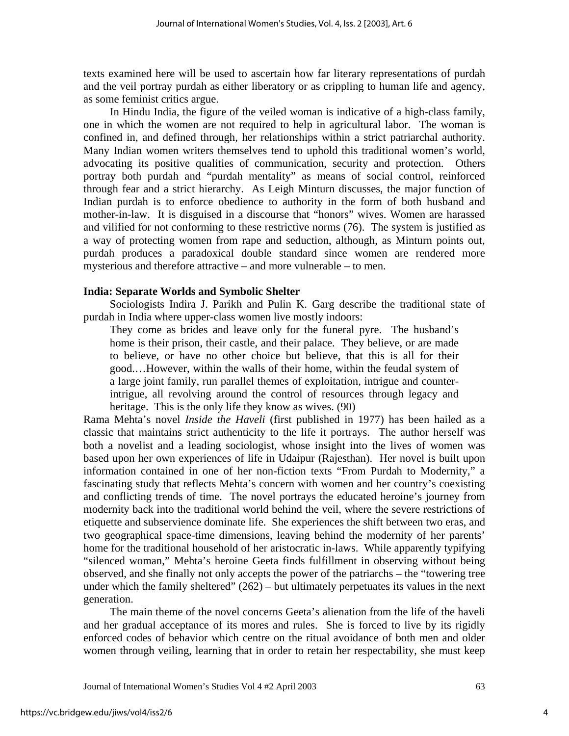texts examined here will be used to ascertain how far literary representations of purdah and the veil portray purdah as either liberatory or as crippling to human life and agency, as some feminist critics argue.

In Hindu India, the figure of the veiled woman is indicative of a high-class family, one in which the women are not required to help in agricultural labor. The woman is confined in, and defined through, her relationships within a strict patriarchal authority. Many Indian women writers themselves tend to uphold this traditional women's world, advocating its positive qualities of communication, security and protection. Others portray both purdah and "purdah mentality" as means of social control, reinforced through fear and a strict hierarchy. As Leigh Minturn discusses, the major function of Indian purdah is to enforce obedience to authority in the form of both husband and mother-in-law. It is disguised in a discourse that "honors" wives. Women are harassed and vilified for not conforming to these restrictive norms (76). The system is justified as a way of protecting women from rape and seduction, although, as Minturn points out, purdah produces a paradoxical double standard since women are rendered more mysterious and therefore attractive – and more vulnerable – to men.

## **India: Separate Worlds and Symbolic Shelter**

Sociologists Indira J. Parikh and Pulin K. Garg describe the traditional state of purdah in India where upper-class women live mostly indoors:

They come as brides and leave only for the funeral pyre. The husband's home is their prison, their castle, and their palace. They believe, or are made to believe, or have no other choice but believe, that this is all for their good.…However, within the walls of their home, within the feudal system of a large joint family, run parallel themes of exploitation, intrigue and counterintrigue, all revolving around the control of resources through legacy and heritage. This is the only life they know as wives. (90)

Rama Mehta's novel *Inside the Haveli* (first published in 1977) has been hailed as a classic that maintains strict authenticity to the life it portrays. The author herself was both a novelist and a leading sociologist, whose insight into the lives of women was based upon her own experiences of life in Udaipur (Rajesthan). Her novel is built upon information contained in one of her non-fiction texts "From Purdah to Modernity," a fascinating study that reflects Mehta's concern with women and her country's coexisting and conflicting trends of time. The novel portrays the educated heroine's journey from modernity back into the traditional world behind the veil, where the severe restrictions of etiquette and subservience dominate life. She experiences the shift between two eras, and two geographical space-time dimensions, leaving behind the modernity of her parents' home for the traditional household of her aristocratic in-laws. While apparently typifying "silenced woman," Mehta's heroine Geeta finds fulfillment in observing without being observed, and she finally not only accepts the power of the patriarchs – the "towering tree under which the family sheltered"  $(262)$  – but ultimately perpetuates its values in the next generation.

The main theme of the novel concerns Geeta's alienation from the life of the haveli and her gradual acceptance of its mores and rules. She is forced to live by its rigidly enforced codes of behavior which centre on the ritual avoidance of both men and older women through veiling, learning that in order to retain her respectability, she must keep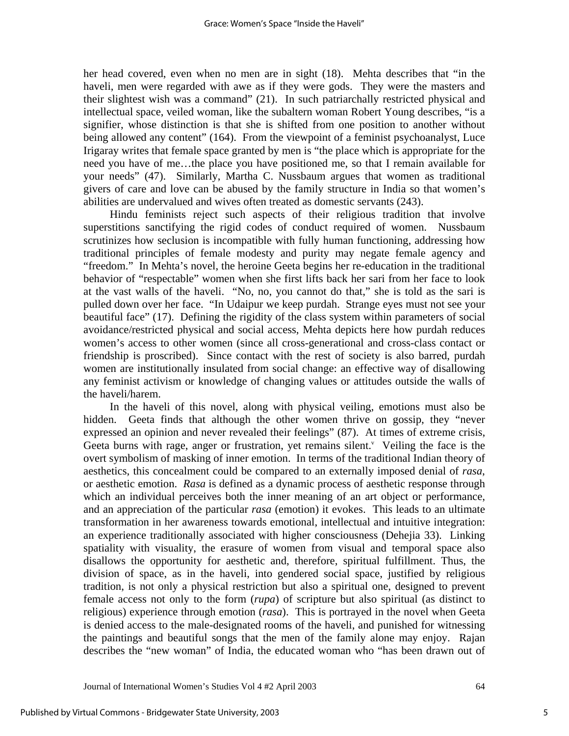her head covered, even when no men are in sight (18). Mehta describes that "in the haveli, men were regarded with awe as if they were gods. They were the masters and their slightest wish was a command" (21). In such patriarchally restricted physical and intellectual space, veiled woman, like the subaltern woman Robert Young describes, "is a signifier, whose distinction is that she is shifted from one position to another without being allowed any content" (164). From the viewpoint of a feminist psychoanalyst, Luce Irigaray writes that female space granted by men is "the place which is appropriate for the need you have of me…the place you have positioned me, so that I remain available for your needs" (47). Similarly, Martha C. Nussbaum argues that women as traditional givers of care and love can be abused by the family structure in India so that women's abilities are undervalued and wives often treated as domestic servants (243).

Hindu feminists reject such aspects of their religious tradition that involve superstitions sanctifying the rigid codes of conduct required of women. Nussbaum scrutinizes how seclusion is incompatible with fully human functioning, addressing how traditional principles of female modesty and purity may negate female agency and "freedom." In Mehta's novel, the heroine Geeta begins her re-education in the traditional behavior of "respectable" women when she first lifts back her sari from her face to look at the vast walls of the haveli. "No, no, you cannot do that," she is told as the sari is pulled down over her face. "In Udaipur we keep purdah. Strange eyes must not see your beautiful face" (17). Defining the rigidity of the class system within parameters of social avoidance/restricted physical and social access, Mehta depicts here how purdah reduces women's access to other women (since all cross-generational and cross-class contact or friendship is proscribed). Since contact with the rest of society is also barred, purdah women are institutionally insulated from social change: an effective way of disallowing any feminist activism or knowledge of changing values or attitudes outside the walls of the haveli/harem.

In the haveli of this novel, along with physical veiling, emotions must also be hidden. Geeta finds that although the other women thrive on gossip, they "never expressed an opinion and never revealed their feelings" (87). At times of extreme crisis, Geeta burns with rage, anger or frustration, yet remains silent. $v$  Veiling the face is the overt symbolism of masking of inner emotion. In terms of the traditional Indian theory of aesthetics, this concealment could be compared to an externally imposed denial of *rasa*, or aesthetic emotion. *Rasa* is defined as a dynamic process of aesthetic response through which an individual perceives both the inner meaning of an art object or performance, and an appreciation of the particular *rasa* (emotion) it evokes. This leads to an ultimate transformation in her awareness towards emotional, intellectual and intuitive integration: an experience traditionally associated with higher consciousness (Dehejia 33). Linking spatiality with visuality, the erasure of women from visual and temporal space also disallows the opportunity for aesthetic and, therefore, spiritual fulfillment. Thus, the division of space, as in the haveli, into gendered social space, justified by religious tradition, is not only a physical restriction but also a spiritual one, designed to prevent female access not only to the form (*rupa*) of scripture but also spiritual (as distinct to religious) experience through emotion (*rasa*). This is portrayed in the novel when Geeta is denied access to the male-designated rooms of the haveli, and punished for witnessing the paintings and beautiful songs that the men of the family alone may enjoy. Rajan describes the "new woman" of India, the educated woman who "has been drawn out of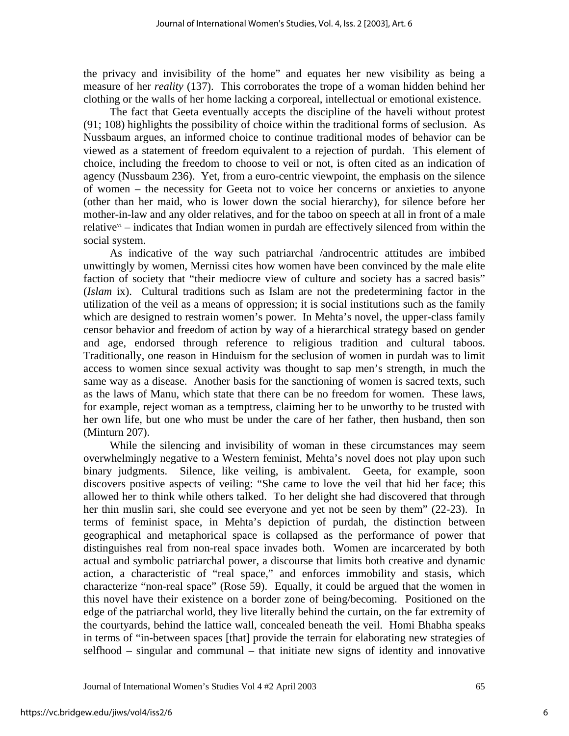the privacy and invisibility of the home" and equates her new visibility as being a measure of her *reality* (137). This corroborates the trope of a woman hidden behind her clothing or the walls of her home lacking a corporeal, intellectual or emotional existence.

The fact that Geeta eventually accepts the discipline of the haveli without protest (91; 108) highlights the possibility of choice within the traditional forms of seclusion. As Nussbaum argues, an informed choice to continue traditional modes of behavior can be viewed as a statement of freedom equivalent to a rejection of purdah. This element of choice, including the freedom to choose to veil or not, is often cited as an indication of agency (Nussbaum 236). Yet, from a euro-centric viewpoint, the emphasis on the silence of women – the necessity for Geeta not to voice her concerns or anxieties to anyone (other than her maid, who is lower down the social hierarchy), for silence before her mother-in-law and any older relatives, and for the taboo on speech at all in front of a male relative $v_i$  – indicates that Indian women in purdah are effectively silenced from within the social system.

As indicative of the way such patriarchal /androcentric attitudes are imbibed unwittingly by women, Mernissi cites how women have been convinced by the male elite faction of society that "their mediocre view of culture and society has a sacred basis" (*Islam* ix). Cultural traditions such as Islam are not the predetermining factor in the utilization of the veil as a means of oppression; it is social institutions such as the family which are designed to restrain women's power. In Mehta's novel, the upper-class family censor behavior and freedom of action by way of a hierarchical strategy based on gender and age, endorsed through reference to religious tradition and cultural taboos. Traditionally, one reason in Hinduism for the seclusion of women in purdah was to limit access to women since sexual activity was thought to sap men's strength, in much the same way as a disease. Another basis for the sanctioning of women is sacred texts, such as the laws of Manu, which state that there can be no freedom for women. These laws, for example, reject woman as a temptress, claiming her to be unworthy to be trusted with her own life, but one who must be under the care of her father, then husband, then son (Minturn 207).

While the silencing and invisibility of woman in these circumstances may seem overwhelmingly negative to a Western feminist, Mehta's novel does not play upon such binary judgments. Silence, like veiling, is ambivalent. Geeta, for example, soon discovers positive aspects of veiling: "She came to love the veil that hid her face; this allowed her to think while others talked. To her delight she had discovered that through her thin muslin sari, she could see everyone and yet not be seen by them" (22-23). In terms of feminist space, in Mehta's depiction of purdah, the distinction between geographical and metaphorical space is collapsed as the performance of power that distinguishes real from non-real space invades both. Women are incarcerated by both actual and symbolic patriarchal power, a discourse that limits both creative and dynamic action, a characteristic of "real space," and enforces immobility and stasis, which characterize "non-real space" (Rose 59). Equally, it could be argued that the women in this novel have their existence on a border zone of being/becoming. Positioned on the edge of the patriarchal world, they live literally behind the curtain, on the far extremity of the courtyards, behind the lattice wall, concealed beneath the veil. Homi Bhabha speaks in terms of "in-between spaces [that] provide the terrain for elaborating new strategies of selfhood – singular and communal – that initiate new signs of identity and innovative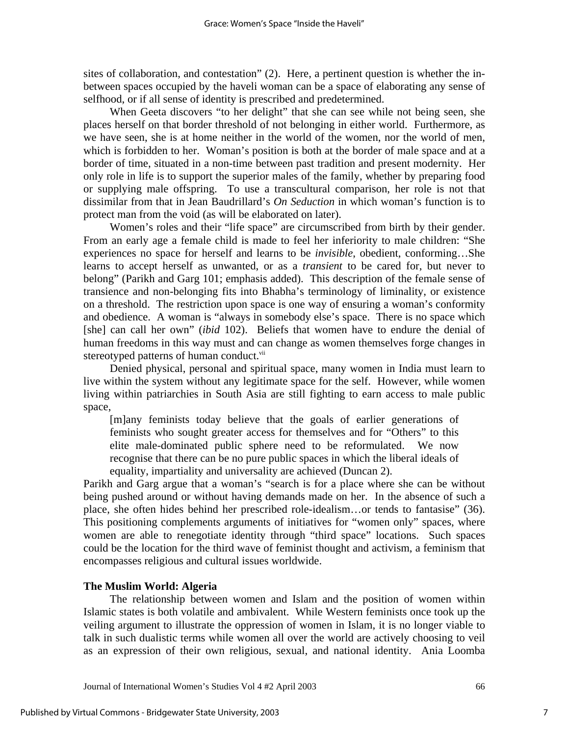sites of collaboration, and contestation" (2). Here, a pertinent question is whether the inbetween spaces occupied by the haveli woman can be a space of elaborating any sense of selfhood, or if all sense of identity is prescribed and predetermined.

When Geeta discovers "to her delight" that she can see while not being seen, she places herself on that border threshold of not belonging in either world. Furthermore, as we have seen, she is at home neither in the world of the women, nor the world of men, which is forbidden to her. Woman's position is both at the border of male space and at a border of time, situated in a non-time between past tradition and present modernity. Her only role in life is to support the superior males of the family, whether by preparing food or supplying male offspring. To use a transcultural comparison, her role is not that dissimilar from that in Jean Baudrillard's *On Seduction* in which woman's function is to protect man from the void (as will be elaborated on later).

Women's roles and their "life space" are circumscribed from birth by their gender. From an early age a female child is made to feel her inferiority to male children: "She experiences no space for herself and learns to be *invisible*, obedient, conforming…She learns to accept herself as unwanted, or as a *transient* to be cared for, but never to belong" (Parikh and Garg 101; emphasis added). This description of the female sense of transience and non-belonging fits into Bhabha's terminology of liminality, or existence on a threshold. The restriction upon space is one way of ensuring a woman's conformity and obedience. A woman is "always in somebody else's space. There is no space which [she] can call her own" (*ibid* 102). Beliefs that women have to endure the denial of human freedoms in this way must and can change as women themselves forge changes in stereotyped patterns of human conduct.<sup>vii</sup>

Denied physical, personal and spiritual space, many women in India must learn to live within the system without any legitimate space for the self. However, while women living within patriarchies in South Asia are still fighting to earn access to male public space,

[m]any feminists today believe that the goals of earlier generations of feminists who sought greater access for themselves and for "Others" to this elite male-dominated public sphere need to be reformulated. We now recognise that there can be no pure public spaces in which the liberal ideals of equality, impartiality and universality are achieved (Duncan 2).

Parikh and Garg argue that a woman's "search is for a place where she can be without being pushed around or without having demands made on her. In the absence of such a place, she often hides behind her prescribed role-idealism…or tends to fantasise" (36). This positioning complements arguments of initiatives for "women only" spaces, where women are able to renegotiate identity through "third space" locations. Such spaces could be the location for the third wave of feminist thought and activism, a feminism that encompasses religious and cultural issues worldwide.

## **The Muslim World: Algeria**

The relationship between women and Islam and the position of women within Islamic states is both volatile and ambivalent. While Western feminists once took up the veiling argument to illustrate the oppression of women in Islam, it is no longer viable to talk in such dualistic terms while women all over the world are actively choosing to veil as an expression of their own religious, sexual, and national identity. Ania Loomba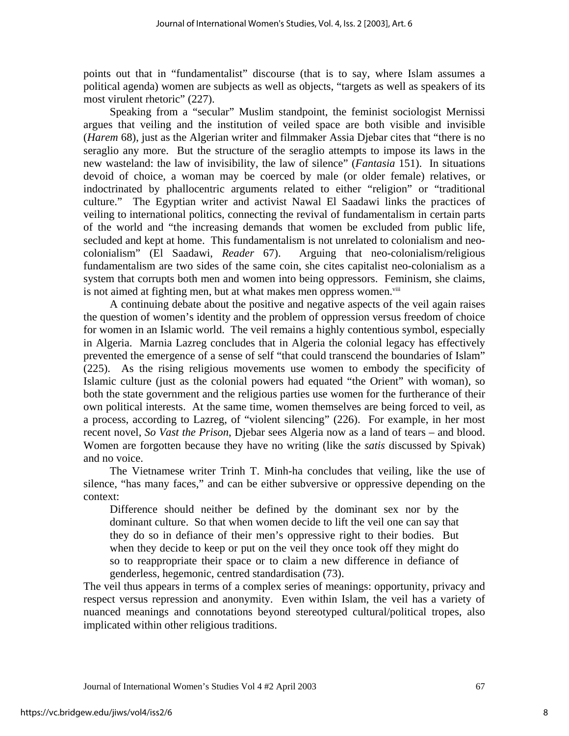points out that in "fundamentalist" discourse (that is to say, where Islam assumes a political agenda) women are subjects as well as objects, "targets as well as speakers of its most virulent rhetoric" (227).

Speaking from a "secular" Muslim standpoint, the feminist sociologist Mernissi argues that veiling and the institution of veiled space are both visible and invisible (*Harem* 68), just as the Algerian writer and filmmaker Assia Djebar cites that "there is no seraglio any more. But the structure of the seraglio attempts to impose its laws in the new wasteland: the law of invisibility, the law of silence" (*Fantasia* 151). In situations devoid of choice, a woman may be coerced by male (or older female) relatives, or indoctrinated by phallocentric arguments related to either "religion" or "traditional culture." The Egyptian writer and activist Nawal El Saadawi links the practices of veiling to international politics, connecting the revival of fundamentalism in certain parts of the world and "the increasing demands that women be excluded from public life, secluded and kept at home. This fundamentalism is not unrelated to colonialism and neocolonialism" (El Saadawi, *Reader* 67). Arguing that neo-colonialism/religious fundamentalism are two sides of the same coin, she cites capitalist neo-colonialism as a system that corrupts both men and women into being oppressors. Feminism, she claims, is not aimed at fighting men, but at what makes men oppress women.<sup>viii</sup>

A continuing debate about the positive and negative aspects of the veil again raises the question of women's identity and the problem of oppression versus freedom of choice for women in an Islamic world. The veil remains a highly contentious symbol, especially in Algeria. Marnia Lazreg concludes that in Algeria the colonial legacy has effectively prevented the emergence of a sense of self "that could transcend the boundaries of Islam" (225). As the rising religious movements use women to embody the specificity of Islamic culture (just as the colonial powers had equated "the Orient" with woman), so both the state government and the religious parties use women for the furtherance of their own political interests. At the same time, women themselves are being forced to veil, as a process, according to Lazreg, of "violent silencing" (226). For example, in her most recent novel, *So Vast the Prison*, Djebar sees Algeria now as a land of tears – and blood. Women are forgotten because they have no writing (like the *satis* discussed by Spivak) and no voice.

The Vietnamese writer Trinh T. Minh-ha concludes that veiling, like the use of silence, "has many faces," and can be either subversive or oppressive depending on the context:

Difference should neither be defined by the dominant sex nor by the dominant culture. So that when women decide to lift the veil one can say that they do so in defiance of their men's oppressive right to their bodies. But when they decide to keep or put on the veil they once took off they might do so to reappropriate their space or to claim a new difference in defiance of genderless, hegemonic, centred standardisation (73).

The veil thus appears in terms of a complex series of meanings: opportunity, privacy and respect versus repression and anonymity. Even within Islam, the veil has a variety of nuanced meanings and connotations beyond stereotyped cultural/political tropes, also implicated within other religious traditions.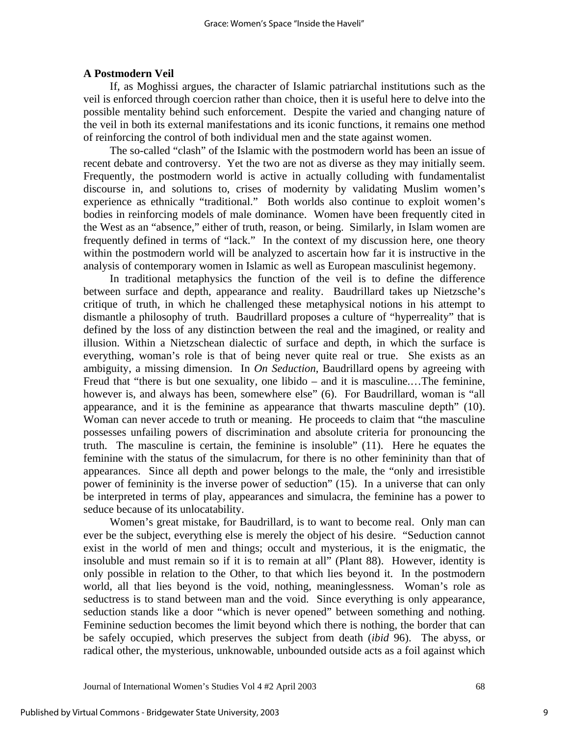### **A Postmodern Veil**

If, as Moghissi argues, the character of Islamic patriarchal institutions such as the veil is enforced through coercion rather than choice, then it is useful here to delve into the possible mentality behind such enforcement. Despite the varied and changing nature of the veil in both its external manifestations and its iconic functions, it remains one method of reinforcing the control of both individual men and the state against women.

The so-called "clash" of the Islamic with the postmodern world has been an issue of recent debate and controversy. Yet the two are not as diverse as they may initially seem. Frequently, the postmodern world is active in actually colluding with fundamentalist discourse in, and solutions to, crises of modernity by validating Muslim women's experience as ethnically "traditional." Both worlds also continue to exploit women's bodies in reinforcing models of male dominance. Women have been frequently cited in the West as an "absence," either of truth, reason, or being. Similarly, in Islam women are frequently defined in terms of "lack." In the context of my discussion here, one theory within the postmodern world will be analyzed to ascertain how far it is instructive in the analysis of contemporary women in Islamic as well as European masculinist hegemony.

In traditional metaphysics the function of the veil is to define the difference between surface and depth, appearance and reality. Baudrillard takes up Nietzsche's critique of truth, in which he challenged these metaphysical notions in his attempt to dismantle a philosophy of truth. Baudrillard proposes a culture of "hyperreality" that is defined by the loss of any distinction between the real and the imagined, or reality and illusion. Within a Nietzschean dialectic of surface and depth, in which the surface is everything, woman's role is that of being never quite real or true. She exists as an ambiguity, a missing dimension. In *On Seduction*, Baudrillard opens by agreeing with Freud that "there is but one sexuality, one libido – and it is masculine.…The feminine, however is, and always has been, somewhere else" (6). For Baudrillard, woman is "all appearance, and it is the feminine as appearance that thwarts masculine depth" (10). Woman can never accede to truth or meaning. He proceeds to claim that "the masculine possesses unfailing powers of discrimination and absolute criteria for pronouncing the truth. The masculine is certain, the feminine is insoluble" (11). Here he equates the feminine with the status of the simulacrum, for there is no other femininity than that of appearances. Since all depth and power belongs to the male, the "only and irresistible power of femininity is the inverse power of seduction" (15). In a universe that can only be interpreted in terms of play, appearances and simulacra, the feminine has a power to seduce because of its unlocatability.

Women's great mistake, for Baudrillard, is to want to become real. Only man can ever be the subject, everything else is merely the object of his desire. "Seduction cannot exist in the world of men and things; occult and mysterious, it is the enigmatic, the insoluble and must remain so if it is to remain at all" (Plant 88). However, identity is only possible in relation to the Other, to that which lies beyond it. In the postmodern world, all that lies beyond is the void, nothing, meaninglessness. Woman's role as seductress is to stand between man and the void. Since everything is only appearance, seduction stands like a door "which is never opened" between something and nothing. Feminine seduction becomes the limit beyond which there is nothing, the border that can be safely occupied, which preserves the subject from death (*ibid* 96). The abyss, or radical other, the mysterious, unknowable, unbounded outside acts as a foil against which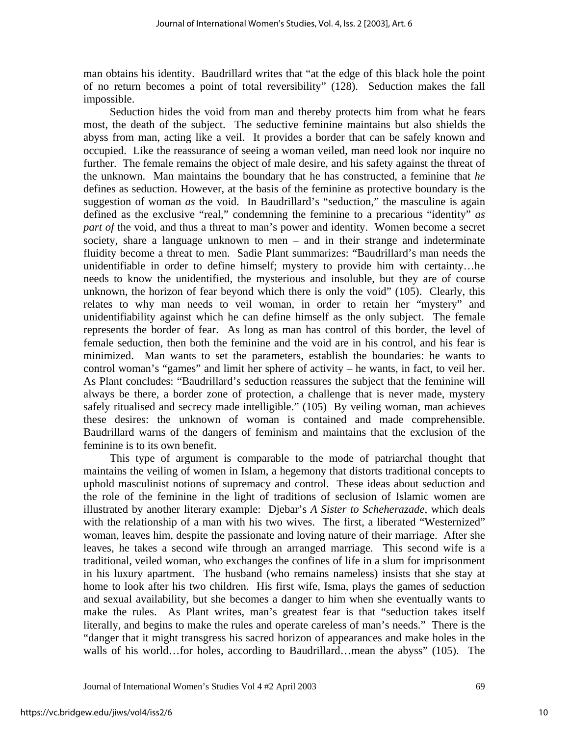man obtains his identity. Baudrillard writes that "at the edge of this black hole the point of no return becomes a point of total reversibility" (128). Seduction makes the fall impossible.

Seduction hides the void from man and thereby protects him from what he fears most, the death of the subject. The seductive feminine maintains but also shields the abyss from man, acting like a veil. It provides a border that can be safely known and occupied. Like the reassurance of seeing a woman veiled, man need look nor inquire no further. The female remains the object of male desire, and his safety against the threat of the unknown. Man maintains the boundary that he has constructed, a feminine that *he*  defines as seduction. However, at the basis of the feminine as protective boundary is the suggestion of woman *as* the void. In Baudrillard's "seduction," the masculine is again defined as the exclusive "real," condemning the feminine to a precarious "identity" *as part of* the void, and thus a threat to man's power and identity. Women become a secret society, share a language unknown to men – and in their strange and indeterminate fluidity become a threat to men. Sadie Plant summarizes: "Baudrillard's man needs the unidentifiable in order to define himself; mystery to provide him with certainty…he needs to know the unidentified, the mysterious and insoluble, but they are of course unknown, the horizon of fear beyond which there is only the void" (105). Clearly, this relates to why man needs to veil woman, in order to retain her "mystery" and unidentifiability against which he can define himself as the only subject. The female represents the border of fear. As long as man has control of this border, the level of female seduction, then both the feminine and the void are in his control, and his fear is minimized. Man wants to set the parameters, establish the boundaries: he wants to control woman's "games" and limit her sphere of activity – he wants, in fact, to veil her. As Plant concludes: "Baudrillard's seduction reassures the subject that the feminine will always be there, a border zone of protection, a challenge that is never made, mystery safely ritualised and secrecy made intelligible." (105) By veiling woman, man achieves these desires: the unknown of woman is contained and made comprehensible. Baudrillard warns of the dangers of feminism and maintains that the exclusion of the feminine is to its own benefit.

This type of argument is comparable to the mode of patriarchal thought that maintains the veiling of women in Islam, a hegemony that distorts traditional concepts to uphold masculinist notions of supremacy and control. These ideas about seduction and the role of the feminine in the light of traditions of seclusion of Islamic women are illustrated by another literary example: Djebar's *A Sister to Scheherazade*, which deals with the relationship of a man with his two wives. The first, a liberated "Westernized" woman, leaves him, despite the passionate and loving nature of their marriage. After she leaves, he takes a second wife through an arranged marriage. This second wife is a traditional, veiled woman, who exchanges the confines of life in a slum for imprisonment in his luxury apartment. The husband (who remains nameless) insists that she stay at home to look after his two children. His first wife, Isma, plays the games of seduction and sexual availability, but she becomes a danger to him when she eventually wants to make the rules. As Plant writes, man's greatest fear is that "seduction takes itself literally, and begins to make the rules and operate careless of man's needs." There is the "danger that it might transgress his sacred horizon of appearances and make holes in the walls of his world…for holes, according to Baudrillard…mean the abyss" (105). The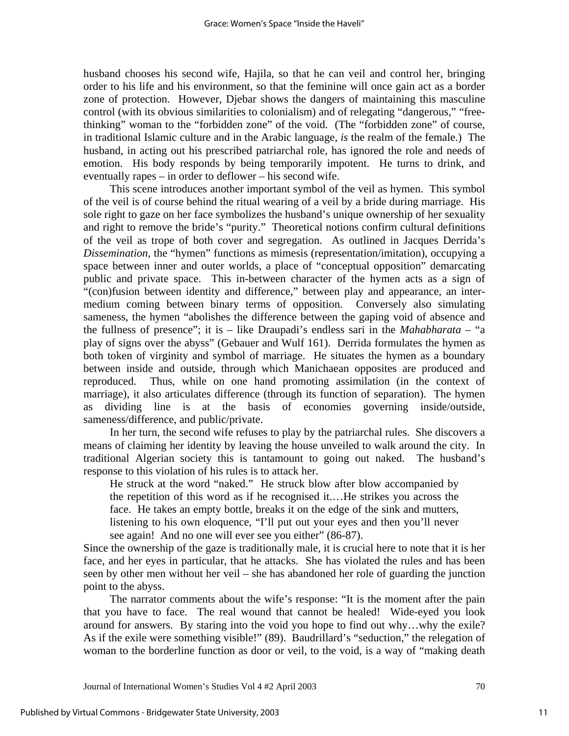husband chooses his second wife, Hajila, so that he can veil and control her, bringing order to his life and his environment, so that the feminine will once gain act as a border zone of protection. However, Djebar shows the dangers of maintaining this masculine control (with its obvious similarities to colonialism) and of relegating "dangerous," "freethinking" woman to the "forbidden zone" of the void. (The "forbidden zone" of course, in traditional Islamic culture and in the Arabic language, *is* the realm of the female.) The husband, in acting out his prescribed patriarchal role, has ignored the role and needs of emotion. His body responds by being temporarily impotent. He turns to drink, and eventually rapes – in order to deflower – his second wife.

This scene introduces another important symbol of the veil as hymen. This symbol of the veil is of course behind the ritual wearing of a veil by a bride during marriage. His sole right to gaze on her face symbolizes the husband's unique ownership of her sexuality and right to remove the bride's "purity." Theoretical notions confirm cultural definitions of the veil as trope of both cover and segregation. As outlined in Jacques Derrida's *Dissemination*, the "hymen" functions as mimesis (representation/imitation), occupying a space between inner and outer worlds, a place of "conceptual opposition" demarcating public and private space. This in-between character of the hymen acts as a sign of "(con)fusion between identity and difference," between play and appearance, an intermedium coming between binary terms of opposition. Conversely also simulating sameness, the hymen "abolishes the difference between the gaping void of absence and the fullness of presence"; it is – like Draupadi's endless sari in the *Mahabharata* – "a play of signs over the abyss" (Gebauer and Wulf 161). Derrida formulates the hymen as both token of virginity and symbol of marriage. He situates the hymen as a boundary between inside and outside, through which Manichaean opposites are produced and reproduced. Thus, while on one hand promoting assimilation (in the context of marriage), it also articulates difference (through its function of separation). The hymen as dividing line is at the basis of economies governing inside/outside, sameness/difference, and public/private.

In her turn, the second wife refuses to play by the patriarchal rules. She discovers a means of claiming her identity by leaving the house unveiled to walk around the city. In traditional Algerian society this is tantamount to going out naked. The husband's response to this violation of his rules is to attack her.

He struck at the word "naked." He struck blow after blow accompanied by the repetition of this word as if he recognised it.…He strikes you across the face. He takes an empty bottle, breaks it on the edge of the sink and mutters, listening to his own eloquence, "I'll put out your eyes and then you'll never see again! And no one will ever see you either" (86-87).

Since the ownership of the gaze is traditionally male, it is crucial here to note that it is her face, and her eyes in particular, that he attacks. She has violated the rules and has been seen by other men without her veil – she has abandoned her role of guarding the junction point to the abyss.

The narrator comments about the wife's response: "It is the moment after the pain that you have to face. The real wound that cannot be healed! Wide-eyed you look around for answers. By staring into the void you hope to find out why…why the exile? As if the exile were something visible!" (89). Baudrillard's "seduction," the relegation of woman to the borderline function as door or veil, to the void, is a way of "making death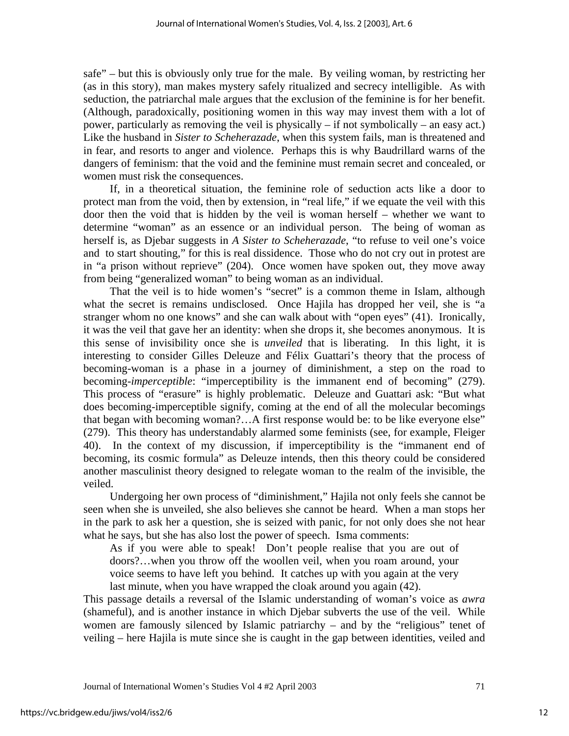safe" – but this is obviously only true for the male. By veiling woman, by restricting her (as in this story), man makes mystery safely ritualized and secrecy intelligible. As with seduction, the patriarchal male argues that the exclusion of the feminine is for her benefit. (Although, paradoxically, positioning women in this way may invest them with a lot of power, particularly as removing the veil is physically – if not symbolically – an easy act.) Like the husband in *Sister to Scheherazade*, when this system fails, man is threatened and in fear, and resorts to anger and violence. Perhaps this is why Baudrillard warns of the dangers of feminism: that the void and the feminine must remain secret and concealed, or women must risk the consequences.

If, in a theoretical situation, the feminine role of seduction acts like a door to protect man from the void, then by extension, in "real life," if we equate the veil with this door then the void that is hidden by the veil is woman herself – whether we want to determine "woman" as an essence or an individual person. The being of woman as herself is, as Djebar suggests in *A Sister to Scheherazade*, "to refuse to veil one's voice and to start shouting," for this is real dissidence. Those who do not cry out in protest are in "a prison without reprieve" (204). Once women have spoken out, they move away from being "generalized woman" to being woman as an individual.

That the veil is to hide women's "secret" is a common theme in Islam, although what the secret is remains undisclosed. Once Hajila has dropped her veil, she is "a stranger whom no one knows" and she can walk about with "open eyes" (41). Ironically, it was the veil that gave her an identity: when she drops it, she becomes anonymous. It is this sense of invisibility once she is *unveiled* that is liberating. In this light, it is interesting to consider Gilles Deleuze and Félix Guattari's theory that the process of becoming-woman is a phase in a journey of diminishment, a step on the road to becoming-*imperceptible*: "imperceptibility is the immanent end of becoming" (279). This process of "erasure" is highly problematic. Deleuze and Guattari ask: "But what does becoming-imperceptible signify, coming at the end of all the molecular becomings that began with becoming woman?…A first response would be: to be like everyone else" (279). This theory has understandably alarmed some feminists (see, for example, Fleiger 40). In the context of my discussion, if imperceptibility is the "immanent end of becoming, its cosmic formula" as Deleuze intends, then this theory could be considered another masculinist theory designed to relegate woman to the realm of the invisible, the veiled.

Undergoing her own process of "diminishment," Hajila not only feels she cannot be seen when she is unveiled, she also believes she cannot be heard. When a man stops her in the park to ask her a question, she is seized with panic, for not only does she not hear what he says, but she has also lost the power of speech. Isma comments:

As if you were able to speak! Don't people realise that you are out of doors?…when you throw off the woollen veil, when you roam around, your voice seems to have left you behind. It catches up with you again at the very last minute, when you have wrapped the cloak around you again (42).

This passage details a reversal of the Islamic understanding of woman's voice as *awra* (shameful), and is another instance in which Djebar subverts the use of the veil. While women are famously silenced by Islamic patriarchy – and by the "religious" tenet of veiling – here Hajila is mute since she is caught in the gap between identities, veiled and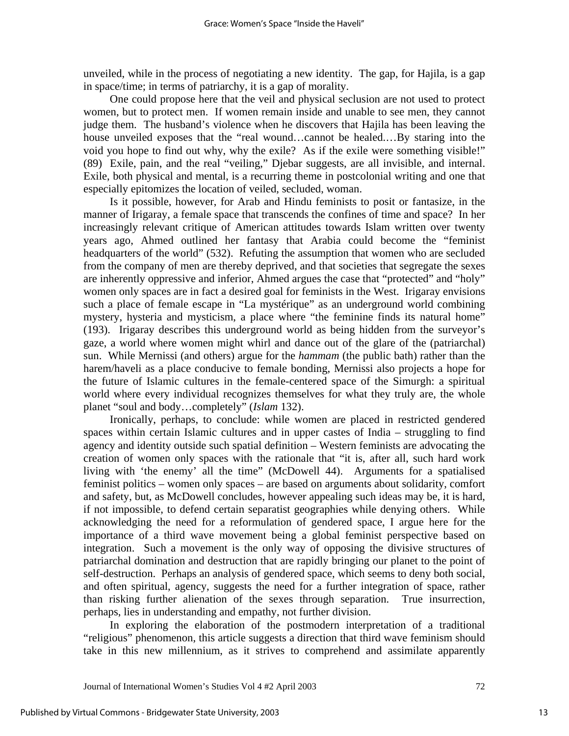unveiled, while in the process of negotiating a new identity. The gap, for Hajila, is a gap in space/time; in terms of patriarchy, it is a gap of morality.

One could propose here that the veil and physical seclusion are not used to protect women, but to protect men. If women remain inside and unable to see men, they cannot judge them. The husband's violence when he discovers that Hajila has been leaving the house unveiled exposes that the "real wound…cannot be healed.…By staring into the void you hope to find out why, why the exile? As if the exile were something visible!" (89) Exile, pain, and the real "veiling," Djebar suggests, are all invisible, and internal. Exile, both physical and mental, is a recurring theme in postcolonial writing and one that especially epitomizes the location of veiled, secluded, woman.

Is it possible, however, for Arab and Hindu feminists to posit or fantasize, in the manner of Irigaray, a female space that transcends the confines of time and space? In her increasingly relevant critique of American attitudes towards Islam written over twenty years ago, Ahmed outlined her fantasy that Arabia could become the "feminist headquarters of the world" (532). Refuting the assumption that women who are secluded from the company of men are thereby deprived, and that societies that segregate the sexes are inherently oppressive and inferior, Ahmed argues the case that "protected" and "holy" women only spaces are in fact a desired goal for feminists in the West. Irigaray envisions such a place of female escape in "La mystérique" as an underground world combining mystery, hysteria and mysticism, a place where "the feminine finds its natural home" (193). Irigaray describes this underground world as being hidden from the surveyor's gaze, a world where women might whirl and dance out of the glare of the (patriarchal) sun. While Mernissi (and others) argue for the *hammam* (the public bath) rather than the harem/haveli as a place conducive to female bonding, Mernissi also projects a hope for the future of Islamic cultures in the female-centered space of the Simurgh: a spiritual world where every individual recognizes themselves for what they truly are, the whole planet "soul and body…completely" (*Islam* 132).

Ironically, perhaps, to conclude: while women are placed in restricted gendered spaces within certain Islamic cultures and in upper castes of India – struggling to find agency and identity outside such spatial definition – Western feminists are advocating the creation of women only spaces with the rationale that "it is, after all, such hard work living with 'the enemy' all the time" (McDowell 44). Arguments for a spatialised feminist politics – women only spaces – are based on arguments about solidarity, comfort and safety, but, as McDowell concludes, however appealing such ideas may be, it is hard, if not impossible, to defend certain separatist geographies while denying others. While acknowledging the need for a reformulation of gendered space, I argue here for the importance of a third wave movement being a global feminist perspective based on integration. Such a movement is the only way of opposing the divisive structures of patriarchal domination and destruction that are rapidly bringing our planet to the point of self-destruction. Perhaps an analysis of gendered space, which seems to deny both social, and often spiritual, agency, suggests the need for a further integration of space, rather than risking further alienation of the sexes through separation. True insurrection, perhaps, lies in understanding and empathy, not further division.

In exploring the elaboration of the postmodern interpretation of a traditional "religious" phenomenon, this article suggests a direction that third wave feminism should take in this new millennium, as it strives to comprehend and assimilate apparently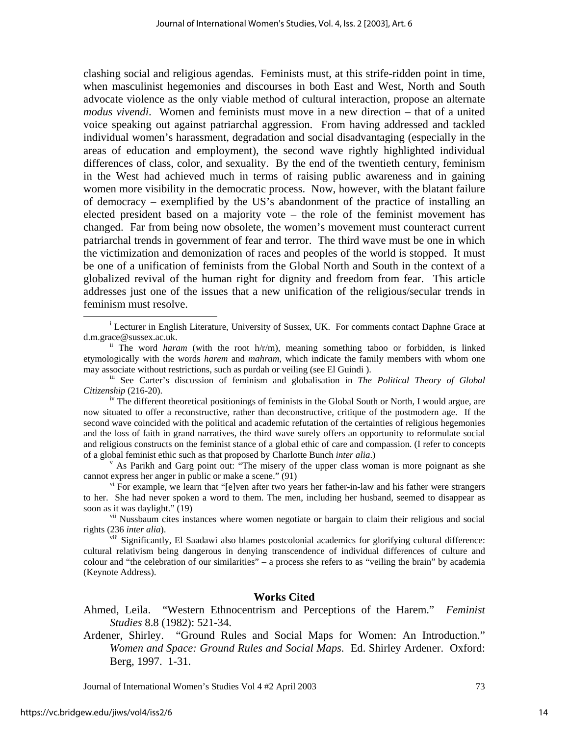clashing social and religious agendas. Feminists must, at this strife-ridden point in time, when masculinist hegemonies and discourses in both East and West, North and South advocate violence as the only viable method of cultural interaction, propose an alternate *modus vivendi*. Women and feminists must move in a new direction – that of a united voice speaking out against patriarchal aggression. From having addressed and tackled individual women's harassment, degradation and social disadvantaging (especially in the areas of education and employment), the second wave rightly highlighted individual differences of class, color, and sexuality. By the end of the twentieth century, feminism in the West had achieved much in terms of raising public awareness and in gaining women more visibility in the democratic process. Now, however, with the blatant failure of democracy – exemplified by the US's abandonment of the practice of installing an elected president based on a majority vote – the role of the feminist movement has changed. Far from being now obsolete, the women's movement must counteract current patriarchal trends in government of fear and terror. The third wave must be one in which the victimization and demonization of races and peoples of the world is stopped. It must be one of a unification of feminists from the Global North and South in the context of a globalized revival of the human right for dignity and freedom from fear. This article addresses just one of the issues that a new unification of the religious/secular trends in feminism must resolve.

### **Works Cited**

- Ahmed, Leila. "Western Ethnocentrism and Perceptions of the Harem." *Feminist Studies* 8.8 (1982): 521-34.
- Ardener, Shirley. "Ground Rules and Social Maps for Women: An Introduction." *Women and Space: Ground Rules and Social Maps*. Ed. Shirley Ardener. Oxford: Berg, 1997. 1-31.

Journal of International Women's Studies Vol 4 #2 April 2003 73

 $\overline{\phantom{a}}$ <sup>1</sup> Lecturer in English Literature, University of Sussex, UK. For comments contact Daphne Grace at d.m.grace@sussex.ac.uk. ii The word *haram* (with the root h/r/m), meaning something taboo or forbidden, is linked

etymologically with the words *harem* and *mahram,* which indicate the family members with whom one may associate without restrictions, such as purdah or veiling (see El Guindi ).<br>iii See Carter's discussion of feminism and globalisation in *The Political Theory of Global* 

*Citizenship* (216-20).

<sup>&</sup>lt;sup>iv</sup> The different theoretical positionings of feminists in the Global South or North, I would argue, are now situated to offer a reconstructive, rather than deconstructive, critique of the postmodern age. If the second wave coincided with the political and academic refutation of the certainties of religious hegemonies and the loss of faith in grand narratives, the third wave surely offers an opportunity to reformulate social and religious constructs on the feminist stance of a global ethic of care and compassion. (I refer to concepts of a global feminist ethic such as that proposed by Charlotte Bunch *inter alia*.) v

As Parikh and Garg point out: "The misery of the upper class woman is more poignant as she cannot express her anger in public or make a scene." (91)

vi For example, we learn that "[e]ven after two years her father-in-law and his father were strangers to her. She had never spoken a word to them. The men, including her husband, seemed to disappear as soon as it was daylight." (19)

<sup>&</sup>lt;sup>vii</sup> Nussbaum cites instances where women negotiate or bargain to claim their religious and social rights (236 *inter alia*).

<sup>&</sup>lt;sup>viii</sup> Significantly, El Saadawi also blames postcolonial academics for glorifying cultural difference: cultural relativism being dangerous in denying transcendence of individual differences of culture and colour and "the celebration of our similarities" – a process she refers to as "veiling the brain" by academia (Keynote Address).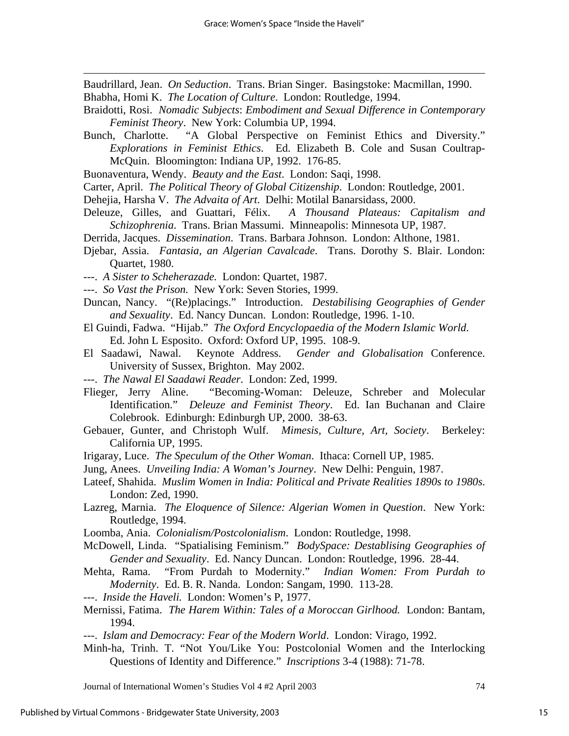Baudrillard, Jean. *On Seduction*. Trans. Brian Singer. Basingstoke: Macmillan, 1990. Bhabha, Homi K. *The Location of Culture*. London: Routledge, 1994.

- Braidotti, Rosi. *Nomadic Subjects*: *Embodiment and Sexual Difference in Contemporary Feminist Theory*. New York: Columbia UP, 1994.
- Bunch, Charlotte. "A Global Perspective on Feminist Ethics and Diversity." *Explorations in Feminist Ethics*. Ed. Elizabeth B. Cole and Susan Coultrap-McQuin. Bloomington: Indiana UP, 1992. 176-85.
- Buonaventura, Wendy. *Beauty and the East*. London: Saqi, 1998.
- Carter, April. *The Political Theory of Global Citizenship*. London: Routledge, 2001.
- Dehejia, Harsha V. *The Advaita of Art*. Delhi: Motilal Banarsidass, 2000.
- Deleuze, Gilles, and Guattari, Félix. *A Thousand Plateaus: Capitalism and Schizophrenia*. Trans. Brian Massumi. Minneapolis: Minnesota UP, 1987.
- Derrida, Jacques. *Dissemination*. Trans. Barbara Johnson. London: Althone, 1981.
- Djebar, Assia. *Fantasia, an Algerian Cavalcade*. Trans. Dorothy S. Blair. London: Quartet, 1980.
- ---. *A Sister to Scheherazade.* London: Quartet, 1987.

-

- ---. *So Vast the Prison.* New York: Seven Stories, 1999.
- Duncan, Nancy. "(Re)placings." Introduction. *Destabilising Geographies of Gender and Sexuality*. Ed. Nancy Duncan. London: Routledge, 1996. 1-10.
- El Guindi, Fadwa. "Hijab." *The Oxford Encyclopaedia of the Modern Islamic World*. Ed. John L Esposito. Oxford: Oxford UP, 1995. 108-9.
- El Saadawi, Nawal. Keynote Address. *Gender and Globalisation* Conference. University of Sussex, Brighton. May 2002.
- ---. *The Nawal El Saadawi Reader*. London: Zed, 1999.
- Flieger, Jerry Aline. "Becoming-Woman: Deleuze, Schreber and Molecular Identification." *Deleuze and Feminist Theory*. Ed. Ian Buchanan and Claire Colebrook. Edinburgh: Edinburgh UP, 2000. 38-63.
- Gebauer, Gunter, and Christoph Wulf. *Mimesis, Culture, Art, Society*. Berkeley: California UP, 1995.
- Irigaray, Luce. *The Speculum of the Other Woman*. Ithaca: Cornell UP, 1985.
- Jung, Anees. *Unveiling India: A Woman's Journey*. New Delhi: Penguin, 1987.
- Lateef, Shahida. *Muslim Women in India: Political and Private Realities 1890s to 1980s*. London: Zed, 1990.
- Lazreg, Marnia. *The Eloquence of Silence: Algerian Women in Question*. New York: Routledge, 1994.
- Loomba, Ania. *Colonialism/Postcolonialism*. London: Routledge, 1998.
- McDowell, Linda. "Spatialising Feminism." *BodySpace: Destablising Geographies of Gender and Sexuality*. Ed. Nancy Duncan. London: Routledge, 1996. 28-44.
- Mehta, Rama. "From Purdah to Modernity." *Indian Women: From Purdah to Modernity*. Ed. B. R. Nanda. London: Sangam, 1990. 113-28.
- ---. *Inside the Haveli.* London: Women's P, 1977.
- Mernissi, Fatima. *The Harem Within: Tales of a Moroccan Girlhood.* London: Bantam, 1994.
- ---. *Islam and Democracy: Fear of the Modern World*. London: Virago, 1992.
- Minh-ha, Trinh. T. "Not You/Like You: Postcolonial Women and the Interlocking Questions of Identity and Difference." *Inscriptions* 3-4 (1988): 71-78.

Journal of International Women's Studies Vol 4 #2 April 2003 74

15